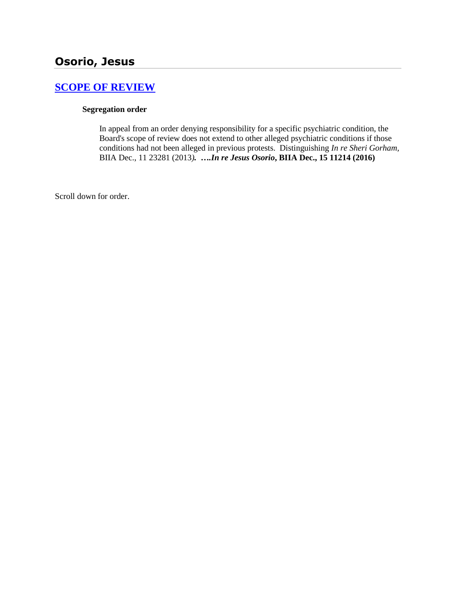# **[SCOPE OF REVIEW](http://www.biia.wa.gov/SDSubjectIndex.html#SCOPE_OF_REVIEW)**

#### **Segregation order**

In appeal from an order denying responsibility for a specific psychiatric condition, the Board's scope of review does not extend to other alleged psychiatric conditions if those conditions had not been alleged in previous protests. Distinguishing *In re Sheri Gorham,*  BIIA Dec., 11 23281 (2013*). ….In re Jesus Osorio***, BIIA Dec., 15 11214 (2016)**

Scroll down for order.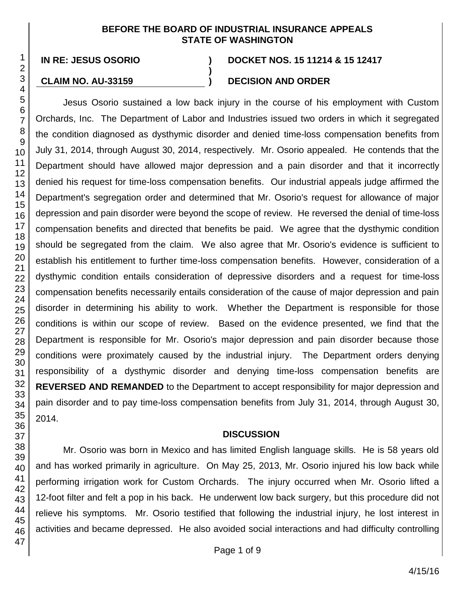#### **BEFORE THE BOARD OF INDUSTRIAL INSURANCE APPEALS STATE OF WASHINGTON**

**)**

#### **IN RE: JESUS OSORIO ) DOCKET NOS. 15 11214 & 15 12417**

## **CLAIM NO. AU-33159 ) DECISION AND ORDER**

Jesus Osorio sustained a low back injury in the course of his employment with Custom Orchards, Inc. The Department of Labor and Industries issued two orders in which it segregated the condition diagnosed as dysthymic disorder and denied time-loss compensation benefits from July 31, 2014, through August 30, 2014, respectively. Mr. Osorio appealed. He contends that the Department should have allowed major depression and a pain disorder and that it incorrectly denied his request for time-loss compensation benefits. Our industrial appeals judge affirmed the Department's segregation order and determined that Mr. Osorio's request for allowance of major depression and pain disorder were beyond the scope of review. He reversed the denial of time-loss compensation benefits and directed that benefits be paid. We agree that the dysthymic condition should be segregated from the claim. We also agree that Mr. Osorio's evidence is sufficient to establish his entitlement to further time-loss compensation benefits. However, consideration of a dysthymic condition entails consideration of depressive disorders and a request for time-loss compensation benefits necessarily entails consideration of the cause of major depression and pain disorder in determining his ability to work. Whether the Department is responsible for those conditions is within our scope of review. Based on the evidence presented, we find that the Department is responsible for Mr. Osorio's major depression and pain disorder because those conditions were proximately caused by the industrial injury. The Department orders denying responsibility of a dysthymic disorder and denying time-loss compensation benefits are **REVERSED AND REMANDED** to the Department to accept responsibility for major depression and pain disorder and to pay time-loss compensation benefits from July 31, 2014, through August 30, 2014.

#### **DISCUSSION**

Mr. Osorio was born in Mexico and has limited English language skills. He is 58 years old and has worked primarily in agriculture. On May 25, 2013, Mr. Osorio injured his low back while performing irrigation work for Custom Orchards. The injury occurred when Mr. Osorio lifted a 12-foot filter and felt a pop in his back. He underwent low back surgery, but this procedure did not relieve his symptoms. Mr. Osorio testified that following the industrial injury, he lost interest in activities and became depressed. He also avoided social interactions and had difficulty controlling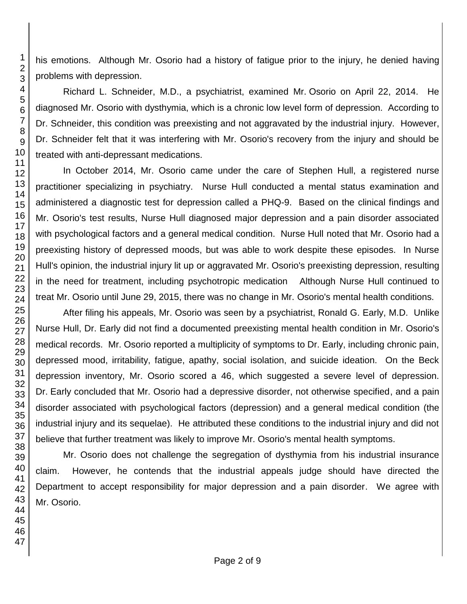his emotions. Although Mr. Osorio had a history of fatigue prior to the injury, he denied having problems with depression.

Richard L. Schneider, M.D., a psychiatrist, examined Mr. Osorio on April 22, 2014. He diagnosed Mr. Osorio with dysthymia, which is a chronic low level form of depression. According to Dr. Schneider, this condition was preexisting and not aggravated by the industrial injury. However, Dr. Schneider felt that it was interfering with Mr. Osorio's recovery from the injury and should be treated with anti-depressant medications.

In October 2014, Mr. Osorio came under the care of Stephen Hull, a registered nurse practitioner specializing in psychiatry. Nurse Hull conducted a mental status examination and administered a diagnostic test for depression called a PHQ-9. Based on the clinical findings and Mr. Osorio's test results, Nurse Hull diagnosed major depression and a pain disorder associated with psychological factors and a general medical condition. Nurse Hull noted that Mr. Osorio had a preexisting history of depressed moods, but was able to work despite these episodes. In Nurse Hull's opinion, the industrial injury lit up or aggravated Mr. Osorio's preexisting depression, resulting in the need for treatment, including psychotropic medication Although Nurse Hull continued to treat Mr. Osorio until June 29, 2015, there was no change in Mr. Osorio's mental health conditions.

After filing his appeals, Mr. Osorio was seen by a psychiatrist, Ronald G. Early, M.D. Unlike Nurse Hull, Dr. Early did not find a documented preexisting mental health condition in Mr. Osorio's medical records. Mr. Osorio reported a multiplicity of symptoms to Dr. Early, including chronic pain, depressed mood, irritability, fatigue, apathy, social isolation, and suicide ideation. On the Beck depression inventory, Mr. Osorio scored a 46, which suggested a severe level of depression. Dr. Early concluded that Mr. Osorio had a depressive disorder, not otherwise specified, and a pain disorder associated with psychological factors (depression) and a general medical condition (the industrial injury and its sequelae). He attributed these conditions to the industrial injury and did not believe that further treatment was likely to improve Mr. Osorio's mental health symptoms.

Mr. Osorio does not challenge the segregation of dysthymia from his industrial insurance claim. However, he contends that the industrial appeals judge should have directed the Department to accept responsibility for major depression and a pain disorder. We agree with Mr. Osorio.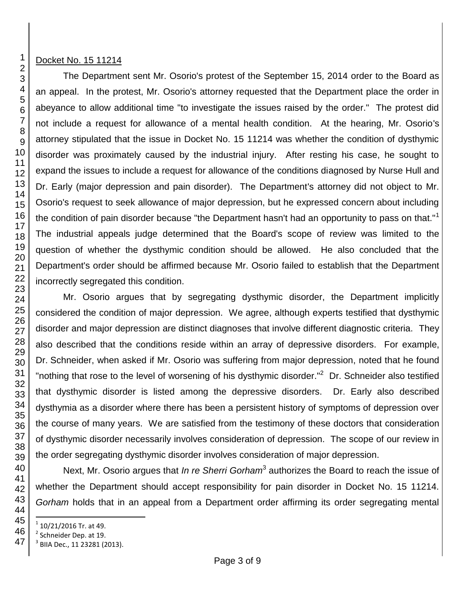## Docket No. 15 11214

The Department sent Mr. Osorio's protest of the September 15, 2014 order to the Board as an appeal. In the protest, Mr. Osorio's attorney requested that the Department place the order in abeyance to allow additional time "to investigate the issues raised by the order." The protest did not include a request for allowance of a mental health condition. At the hearing, Mr. Osorio's attorney stipulated that the issue in Docket No. 15 11214 was whether the condition of dysthymic disorder was proximately caused by the industrial injury. After resting his case, he sought to expand the issues to include a request for allowance of the conditions diagnosed by Nurse Hull and Dr. Early (major depression and pain disorder). The Department's attorney did not object to Mr. Osorio's request to seek allowance of major depression, but he expressed concern about including the condition of pain disorder because "the Department hasn't had an opportunity to pass on that."<sup>1</sup> The industrial appeals judge determined that the Board's scope of review was limited to the question of whether the dysthymic condition should be allowed. He also concluded that the Department's order should be affirmed because Mr. Osorio failed to establish that the Department incorrectly segregated this condition.

Mr. Osorio argues that by segregating dysthymic disorder, the Department implicitly considered the condition of major depression. We agree, although experts testified that dysthymic disorder and major depression are distinct diagnoses that involve different diagnostic criteria. They also described that the conditions reside within an array of depressive disorders. For example, Dr. Schneider, when asked if Mr. Osorio was suffering from major depression, noted that he found "nothing that rose to the level of worsening of his dysthymic disorder."<sup>2</sup> Dr. Schneider also testified that dysthymic disorder is listed among the depressive disorders. Dr. Early also described dysthymia as a disorder where there has been a persistent history of symptoms of depression over the course of many years. We are satisfied from the testimony of these doctors that consideration of dysthymic disorder necessarily involves consideration of depression. The scope of our review in the order segregating dysthymic disorder involves consideration of major depression.

Next, Mr. Osorio argues that *In re Sherri Gorham* 3 authorizes the Board to reach the issue of whether the Department should accept responsibility for pain disorder in Docket No. 15 11214. *Gorham* holds that in an appeal from a Department order affirming its order segregating mental

l  $1$  10/21/2016 Tr. at 49.

<sup>&</sup>lt;sup>2</sup> Schneider Dep. at 19.

 $^3$  BIIA Dec., 11 23281 (2013).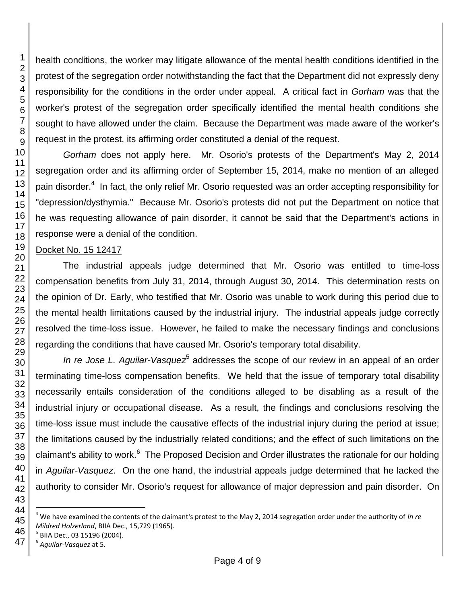health conditions, the worker may litigate allowance of the mental health conditions identified in the protest of the segregation order notwithstanding the fact that the Department did not expressly deny responsibility for the conditions in the order under appeal. A critical fact in *Gorham* was that the worker's protest of the segregation order specifically identified the mental health conditions she sought to have allowed under the claim. Because the Department was made aware of the worker's request in the protest, its affirming order constituted a denial of the request.

*Gorham* does not apply here. Mr. Osorio's protests of the Department's May 2, 2014 segregation order and its affirming order of September 15, 2014, make no mention of an alleged pain disorder.<sup>4</sup> In fact, the only relief Mr. Osorio requested was an order accepting responsibility for "depression/dysthymia." Because Mr. Osorio's protests did not put the Department on notice that he was requesting allowance of pain disorder, it cannot be said that the Department's actions in response were a denial of the condition.

# Docket No. 15 12417

The industrial appeals judge determined that Mr. Osorio was entitled to time-loss compensation benefits from July 31, 2014, through August 30, 2014. This determination rests on the opinion of Dr. Early, who testified that Mr. Osorio was unable to work during this period due to the mental health limitations caused by the industrial injury. The industrial appeals judge correctly resolved the time-loss issue. However, he failed to make the necessary findings and conclusions regarding the conditions that have caused Mr. Osorio's temporary total disability.

In re Jose L. Aguilar-Vasquez<sup>5</sup> addresses the scope of our review in an appeal of an order terminating time-loss compensation benefits. We held that the issue of temporary total disability necessarily entails consideration of the conditions alleged to be disabling as a result of the industrial injury or occupational disease. As a result, the findings and conclusions resolving the time-loss issue must include the causative effects of the industrial injury during the period at issue; the limitations caused by the industrially related conditions; and the effect of such limitations on the claimant's ability to work.<sup>6</sup> The Proposed Decision and Order illustrates the rationale for our holding in *Aguilar-Vasquez*. On the one hand, the industrial appeals judge determined that he lacked the authority to consider Mr. Osorio's request for allowance of major depression and pain disorder. On

l

 We have examined the contents of the claimant's protest to the May 2, 2014 segregation order under the authority of *In re Mildred Holzerland*, BIIA Dec., 15,729 (1965).

BIIA Dec., 03 15196 (2004).

*Aguilar-Vasquez* at 5.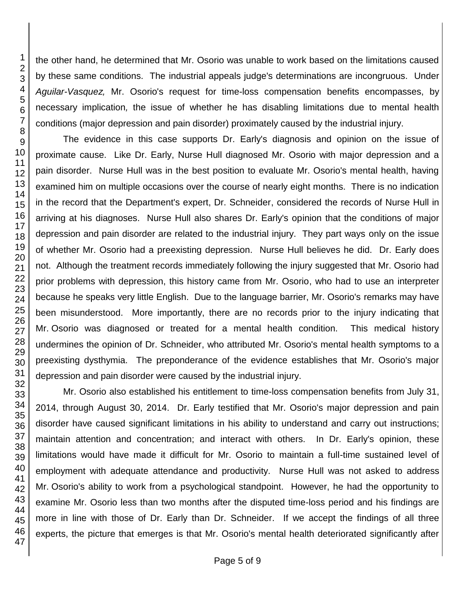the other hand, he determined that Mr. Osorio was unable to work based on the limitations caused by these same conditions. The industrial appeals judge's determinations are incongruous. Under *Aguilar-Vasquez,* Mr. Osorio's request for time-loss compensation benefits encompasses, by necessary implication*,* the issue of whether he has disabling limitations due to mental health conditions (major depression and pain disorder) proximately caused by the industrial injury.

The evidence in this case supports Dr. Early's diagnosis and opinion on the issue of proximate cause. Like Dr. Early, Nurse Hull diagnosed Mr. Osorio with major depression and a pain disorder. Nurse Hull was in the best position to evaluate Mr. Osorio's mental health, having examined him on multiple occasions over the course of nearly eight months. There is no indication in the record that the Department's expert, Dr. Schneider, considered the records of Nurse Hull in arriving at his diagnoses. Nurse Hull also shares Dr. Early's opinion that the conditions of major depression and pain disorder are related to the industrial injury. They part ways only on the issue of whether Mr. Osorio had a preexisting depression. Nurse Hull believes he did. Dr. Early does not. Although the treatment records immediately following the injury suggested that Mr. Osorio had prior problems with depression, this history came from Mr. Osorio, who had to use an interpreter because he speaks very little English. Due to the language barrier, Mr. Osorio's remarks may have been misunderstood. More importantly, there are no records prior to the injury indicating that Mr. Osorio was diagnosed or treated for a mental health condition. This medical history undermines the opinion of Dr. Schneider, who attributed Mr. Osorio's mental health symptoms to a preexisting dysthymia. The preponderance of the evidence establishes that Mr. Osorio's major depression and pain disorder were caused by the industrial injury.

Mr. Osorio also established his entitlement to time-loss compensation benefits from July 31, 2014, through August 30, 2014. Dr. Early testified that Mr. Osorio's major depression and pain disorder have caused significant limitations in his ability to understand and carry out instructions; maintain attention and concentration; and interact with others. In Dr. Early's opinion, these limitations would have made it difficult for Mr. Osorio to maintain a full-time sustained level of employment with adequate attendance and productivity. Nurse Hull was not asked to address Mr. Osorio's ability to work from a psychological standpoint. However, he had the opportunity to examine Mr. Osorio less than two months after the disputed time-loss period and his findings are more in line with those of Dr. Early than Dr. Schneider. If we accept the findings of all three experts, the picture that emerges is that Mr. Osorio's mental health deteriorated significantly after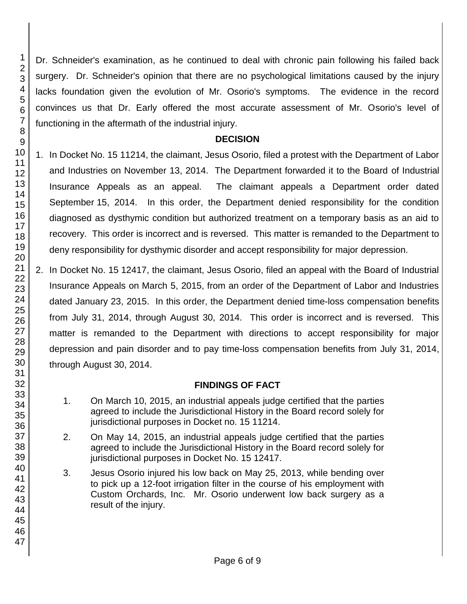Dr. Schneider's examination, as he continued to deal with chronic pain following his failed back surgery. Dr. Schneider's opinion that there are no psychological limitations caused by the injury lacks foundation given the evolution of Mr. Osorio's symptoms. The evidence in the record convinces us that Dr. Early offered the most accurate assessment of Mr. Osorio's level of functioning in the aftermath of the industrial injury.

## **DECISION**

- 1. In Docket No. 15 11214, the claimant, Jesus Osorio, filed a protest with the Department of Labor and Industries on November 13, 2014. The Department forwarded it to the Board of Industrial Insurance Appeals as an appeal. The claimant appeals a Department order dated September 15, 2014. In this order, the Department denied responsibility for the condition diagnosed as dysthymic condition but authorized treatment on a temporary basis as an aid to recovery. This order is incorrect and is reversed. This matter is remanded to the Department to deny responsibility for dysthymic disorder and accept responsibility for major depression.
- 2. In Docket No. 15 12417, the claimant, Jesus Osorio, filed an appeal with the Board of Industrial Insurance Appeals on March 5, 2015, from an order of the Department of Labor and Industries dated January 23, 2015. In this order, the Department denied time-loss compensation benefits from July 31, 2014, through August 30, 2014. This order is incorrect and is reversed. This matter is remanded to the Department with directions to accept responsibility for major depression and pain disorder and to pay time-loss compensation benefits from July 31, 2014, through August 30, 2014.

# **FINDINGS OF FACT**

- 1. On March 10, 2015, an industrial appeals judge certified that the parties agreed to include the Jurisdictional History in the Board record solely for jurisdictional purposes in Docket no. 15 11214.
- 2. On May 14, 2015, an industrial appeals judge certified that the parties agreed to include the Jurisdictional History in the Board record solely for jurisdictional purposes in Docket No. 15 12417.
- 3. Jesus Osorio injured his low back on May 25, 2013, while bending over to pick up a 12-foot irrigation filter in the course of his employment with Custom Orchards, Inc. Mr. Osorio underwent low back surgery as a result of the injury.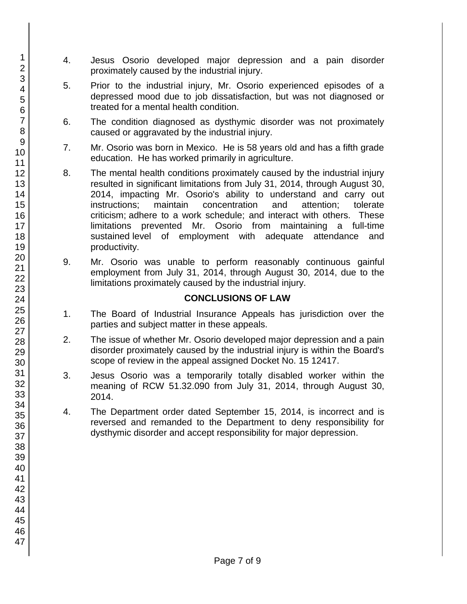- 4. Jesus Osorio developed major depression and a pain disorder proximately caused by the industrial injury.
- 5. Prior to the industrial injury, Mr. Osorio experienced episodes of a depressed mood due to job dissatisfaction, but was not diagnosed or treated for a mental health condition.
- 6. The condition diagnosed as dysthymic disorder was not proximately caused or aggravated by the industrial injury.
- 7. Mr. Osorio was born in Mexico. He is 58 years old and has a fifth grade education. He has worked primarily in agriculture.
- 8. The mental health conditions proximately caused by the industrial injury resulted in significant limitations from July 31, 2014, through August 30, 2014, impacting Mr. Osorio's ability to understand and carry out instructions; maintain concentration and attention; tolerate criticism; adhere to a work schedule; and interact with others. These limitations prevented Mr. Osorio from maintaining a full-time sustained level of employment with adequate attendance and productivity.
- 9. Mr. Osorio was unable to perform reasonably continuous gainful employment from July 31, 2014, through August 30, 2014, due to the limitations proximately caused by the industrial injury.

# **CONCLUSIONS OF LAW**

- 1. The Board of Industrial Insurance Appeals has jurisdiction over the parties and subject matter in these appeals.
- 2. The issue of whether Mr. Osorio developed major depression and a pain disorder proximately caused by the industrial injury is within the Board's scope of review in the appeal assigned Docket No. 15 12417.
- 3. Jesus Osorio was a temporarily totally disabled worker within the meaning of RCW 51.32.090 from July 31, 2014, through August 30, 2014.
- 4. The Department order dated September 15, 2014, is incorrect and is reversed and remanded to the Department to deny responsibility for dysthymic disorder and accept responsibility for major depression.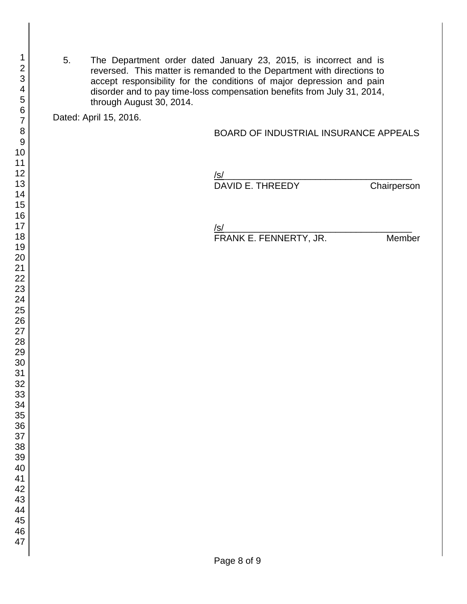5. The Department order dated January 23, 2015, is incorrect and is reversed. This matter is remanded to the Department with directions to accept responsibility for the conditions of major depression and pain disorder and to pay time-loss compensation benefits from July 31, 2014, through August 30, 2014.

Dated: April 15, 2016.

#### BOARD OF INDUSTRIAL INSURANCE APPEALS

/s/ DAVID E. THREEDY Chairperson

/s/

FRANK E. FENNERTY, JR. Member